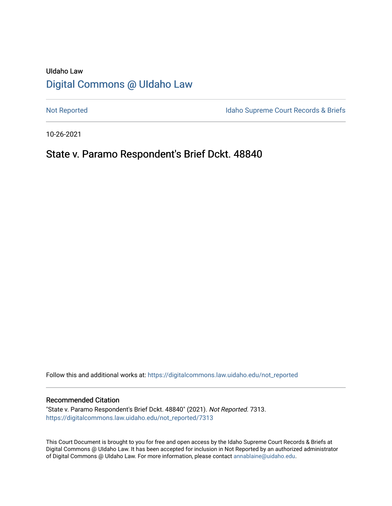# UIdaho Law [Digital Commons @ UIdaho Law](https://digitalcommons.law.uidaho.edu/)

[Not Reported](https://digitalcommons.law.uidaho.edu/not_reported) **Idaho Supreme Court Records & Briefs** 

10-26-2021

# State v. Paramo Respondent's Brief Dckt. 48840

Follow this and additional works at: [https://digitalcommons.law.uidaho.edu/not\\_reported](https://digitalcommons.law.uidaho.edu/not_reported?utm_source=digitalcommons.law.uidaho.edu%2Fnot_reported%2F7313&utm_medium=PDF&utm_campaign=PDFCoverPages) 

#### Recommended Citation

"State v. Paramo Respondent's Brief Dckt. 48840" (2021). Not Reported. 7313. [https://digitalcommons.law.uidaho.edu/not\\_reported/7313](https://digitalcommons.law.uidaho.edu/not_reported/7313?utm_source=digitalcommons.law.uidaho.edu%2Fnot_reported%2F7313&utm_medium=PDF&utm_campaign=PDFCoverPages)

This Court Document is brought to you for free and open access by the Idaho Supreme Court Records & Briefs at Digital Commons @ UIdaho Law. It has been accepted for inclusion in Not Reported by an authorized administrator of Digital Commons @ UIdaho Law. For more information, please contact [annablaine@uidaho.edu](mailto:annablaine@uidaho.edu).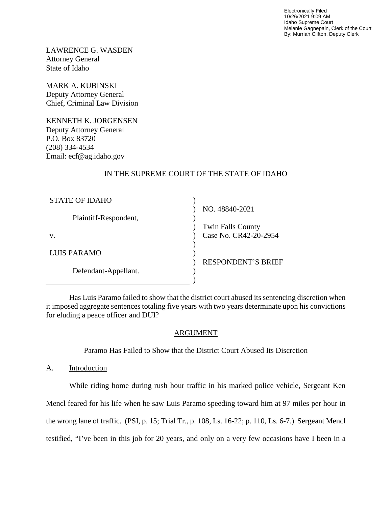Electronically Filed 10/26/2021 9:09 AM Idaho Supreme Court Melanie Gagnepain, Clerk of the Court By: Murriah Clifton, Deputy Clerk

LAWRENCE G. WASDEN Attorney General State of Idaho

MARK A. KUBINSKI Deputy Attorney General Chief, Criminal Law Division

KENNETH K. JORGENSEN Deputy Attorney General P.O. Box 83720 (208) 334-4534 Email: ecf@ag.idaho.gov

# IN THE SUPREME COURT OF THE STATE OF IDAHO

| <b>STATE OF IDAHO</b> |                           |
|-----------------------|---------------------------|
|                       | NO. 48840-2021            |
| Plaintiff-Respondent, |                           |
|                       | <b>Twin Falls County</b>  |
| V.                    | Case No. CR42-20-2954     |
|                       |                           |
| LUIS PARAMO           |                           |
|                       | <b>RESPONDENT'S BRIEF</b> |
| Defendant-Appellant.  |                           |
|                       |                           |

Has Luis Paramo failed to show that the district court abused its sentencing discretion when it imposed aggregate sentences totaling five years with two years determinate upon his convictions for eluding a peace officer and DUI?

## ARGUMENT

## Paramo Has Failed to Show that the District Court Abused Its Discretion

A. Introduction

While riding home during rush hour traffic in his marked police vehicle, Sergeant Ken Mencl feared for his life when he saw Luis Paramo speeding toward him at 97 miles per hour in the wrong lane of traffic. (PSI, p. 15; Trial Tr., p. 108, Ls. 16-22; p. 110, Ls. 6-7.) Sergeant Mencl testified, "I've been in this job for 20 years, and only on a very few occasions have I been in a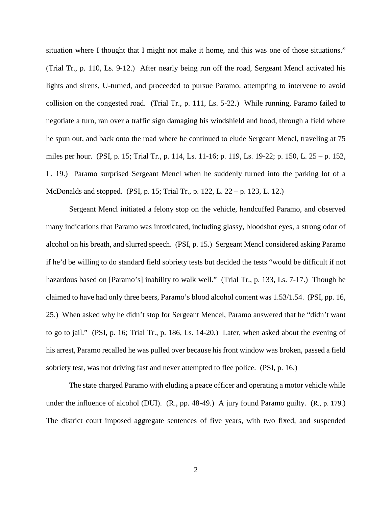situation where I thought that I might not make it home, and this was one of those situations." (Trial Tr., p. 110, Ls. 9-12.) After nearly being run off the road, Sergeant Mencl activated his lights and sirens, U-turned, and proceeded to pursue Paramo, attempting to intervene to avoid collision on the congested road. (Trial Tr., p. 111, Ls. 5-22.) While running, Paramo failed to negotiate a turn, ran over a traffic sign damaging his windshield and hood, through a field where he spun out, and back onto the road where he continued to elude Sergeant Mencl, traveling at 75 miles per hour. (PSI, p. 15; Trial Tr., p. 114, Ls. 11-16; p. 119, Ls. 19-22; p. 150, L. 25 – p. 152, L. 19.) Paramo surprised Sergeant Mencl when he suddenly turned into the parking lot of a McDonalds and stopped. (PSI, p. 15; Trial Tr., p. 122, L. 22 – p. 123, L. 12.)

Sergeant Mencl initiated a felony stop on the vehicle, handcuffed Paramo, and observed many indications that Paramo was intoxicated, including glassy, bloodshot eyes, a strong odor of alcohol on his breath, and slurred speech. (PSI, p. 15.) Sergeant Mencl considered asking Paramo if he'd be willing to do standard field sobriety tests but decided the tests "would be difficult if not hazardous based on [Paramo's] inability to walk well." (Trial Tr., p. 133, Ls. 7-17.) Though he claimed to have had only three beers, Paramo's blood alcohol content was 1.53/1.54. (PSI, pp. 16, 25.) When asked why he didn't stop for Sergeant Mencel, Paramo answered that he "didn't want to go to jail." (PSI, p. 16; Trial Tr., p. 186, Ls. 14-20.) Later, when asked about the evening of his arrest, Paramo recalled he was pulled over because his front window was broken, passed a field sobriety test, was not driving fast and never attempted to flee police. (PSI, p. 16.)

The state charged Paramo with eluding a peace officer and operating a motor vehicle while under the influence of alcohol (DUI). (R., pp. 48-49.) A jury found Paramo guilty. (R., p. 179.) The district court imposed aggregate sentences of five years, with two fixed, and suspended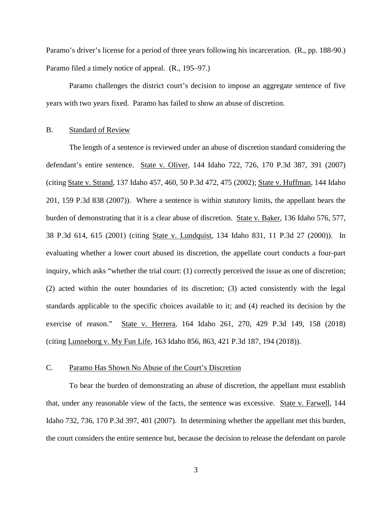Paramo's driver's license for a period of three years following his incarceration. (R., pp. 188-90.) Paramo filed a timely notice of appeal. (R., 195–97.)

Paramo challenges the district court's decision to impose an aggregate sentence of five years with two years fixed. Paramo has failed to show an abuse of discretion.

#### B. Standard of Review

The length of a sentence is reviewed under an abuse of discretion standard considering the defendant's entire sentence. State v. Oliver, 144 Idaho 722, 726, 170 P.3d 387, 391 (2007) (citing State v. Strand, 137 Idaho 457, 460, 50 P.3d 472, 475 (2002); State v. Huffman, 144 Idaho 201, 159 P.3d 838 (2007)). Where a sentence is within statutory limits, the appellant bears the burden of demonstrating that it is a clear abuse of discretion. State v. Baker, 136 Idaho 576, 577, 38 P.3d 614, 615 (2001) (citing State v. Lundquist, 134 Idaho 831, 11 P.3d 27 (2000)). In evaluating whether a lower court abused its discretion, the appellate court conducts a four-part inquiry, which asks "whether the trial court: (1) correctly perceived the issue as one of discretion; (2) acted within the outer boundaries of its discretion; (3) acted consistently with the legal standards applicable to the specific choices available to it; and (4) reached its decision by the exercise of reason." State v. Herrera, 164 Idaho 261, 270, 429 P.3d 149, 158 (2018) (citing Lunneborg v. My Fun Life, 163 Idaho 856, 863, 421 P.3d 187, 194 (2018)).

### C. Paramo Has Shown No Abuse of the Court's Discretion

To bear the burden of demonstrating an abuse of discretion, the appellant must establish that, under any reasonable view of the facts, the sentence was excessive. State v. Farwell, 144 Idaho 732, 736, 170 P.3d 397, 401 (2007). In determining whether the appellant met this burden, the court considers the entire sentence but, because the decision to release the defendant on parole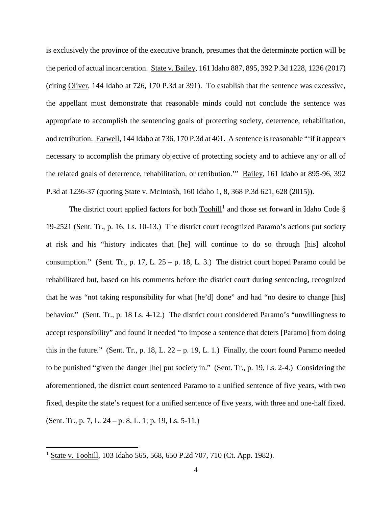is exclusively the province of the executive branch, presumes that the determinate portion will be the period of actual incarceration. State v. Bailey, 161 Idaho 887, 895, 392 P.3d 1228, 1236 (2017) (citing Oliver, 144 Idaho at 726, 170 P.3d at 391). To establish that the sentence was excessive, the appellant must demonstrate that reasonable minds could not conclude the sentence was appropriate to accomplish the sentencing goals of protecting society, deterrence, rehabilitation, and retribution. Farwell, 144 Idaho at 736, 170 P.3d at 401. A sentence is reasonable "'if it appears necessary to accomplish the primary objective of protecting society and to achieve any or all of the related goals of deterrence, rehabilitation, or retribution.'" Bailey, 161 Idaho at 895-96, 392 P.3d at 1236-37 (quoting State v. McIntosh, 160 Idaho 1, 8, 368 P.3d 621, 628 (2015)).

The district court applied factors for both  $Toolill<sup>1</sup>$  $Toolill<sup>1</sup>$  $Toolill<sup>1</sup>$  and those set forward in Idaho Code § 19-2521 (Sent. Tr., p. 16, Ls. 10-13.) The district court recognized Paramo's actions put society at risk and his "history indicates that [he] will continue to do so through [his] alcohol consumption." (Sent. Tr., p. 17, L.  $25 - p$ . 18, L. 3.) The district court hoped Paramo could be rehabilitated but, based on his comments before the district court during sentencing, recognized that he was "not taking responsibility for what [he'd] done" and had "no desire to change [his] behavior." (Sent. Tr., p. 18 Ls. 4-12.) The district court considered Paramo's "unwillingness to accept responsibility" and found it needed "to impose a sentence that deters [Paramo] from doing this in the future." (Sent. Tr., p. 18, L. 22 – p. 19, L. 1.) Finally, the court found Paramo needed to be punished "given the danger [he] put society in." (Sent. Tr., p. 19, Ls. 2-4.) Considering the aforementioned, the district court sentenced Paramo to a unified sentence of five years, with two fixed, despite the state's request for a unified sentence of five years, with three and one-half fixed. (Sent. Tr., p. 7, L. 24 – p. 8, L. 1; p. 19, Ls. 5-11.)

 $\overline{a}$ 

<span id="page-4-0"></span><sup>&</sup>lt;sup>1</sup> State v. Toohill, 103 Idaho 565, 568, 650 P.2d 707, 710 (Ct. App. 1982).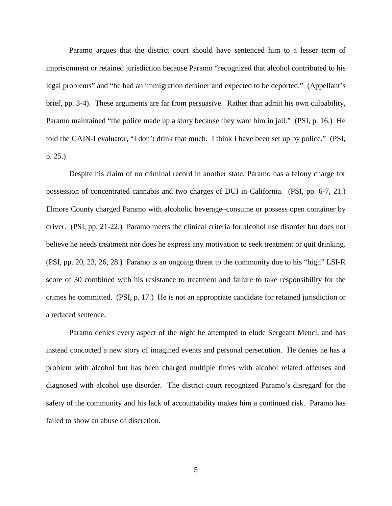Paramo argues that the district court should have sentenced him to a lesser term of imprisonment or retained jurisdiction because Paramo "recognized that alcohol contributed to his legal problems" and "he had an immigration detainer and expected to be deported." (Appellant's brief, pp. 3-4). These arguments are far from persuasive. Rather than admit his own culpability, Paramo maintained "the police made up a story because they want him in jail." (PSI, p. 16.) He told the GAIN-I evaluator, "I don't drink that much. I think I have been set up by police." (PSI, p. 25.)

Despite his claim of no criminal record in another state, Paramo has a felony charge for possession of concentrated cannabis and two charges of DUI in California. (PSI, pp. 6-7, 21.) Elmore County charged Paramo with alcoholic beverage–consume or possess open container by driver. (PSI, pp. 21-22.) Paramo meets the clinical criteria for alcohol use disorder but does not believe he needs treatment nor does he express any motivation to seek treatment or quit drinking. (PSI, pp. 20, 23, 26, 28.) Paramo is an ongoing threat to the community due to his "high" LSI-R score of 30 combined with his resistance to treatment and failure to take responsibility for the crimes he committed. (PSI, p. 17.) He is not an appropriate candidate for retained jurisdiction or a reduced sentence.

Paramo denies every aspect of the night he attempted to elude Sergeant Mencl, and has instead concocted a new story of imagined events and personal persecution. He denies he has a problem with alcohol but has been charged multiple times with alcohol related offenses and diagnosed with alcohol use disorder. The district court recognized Paramo's disregard for the safety of the community and his lack of accountability makes him a continued risk. Paramo has failed to show an abuse of discretion.